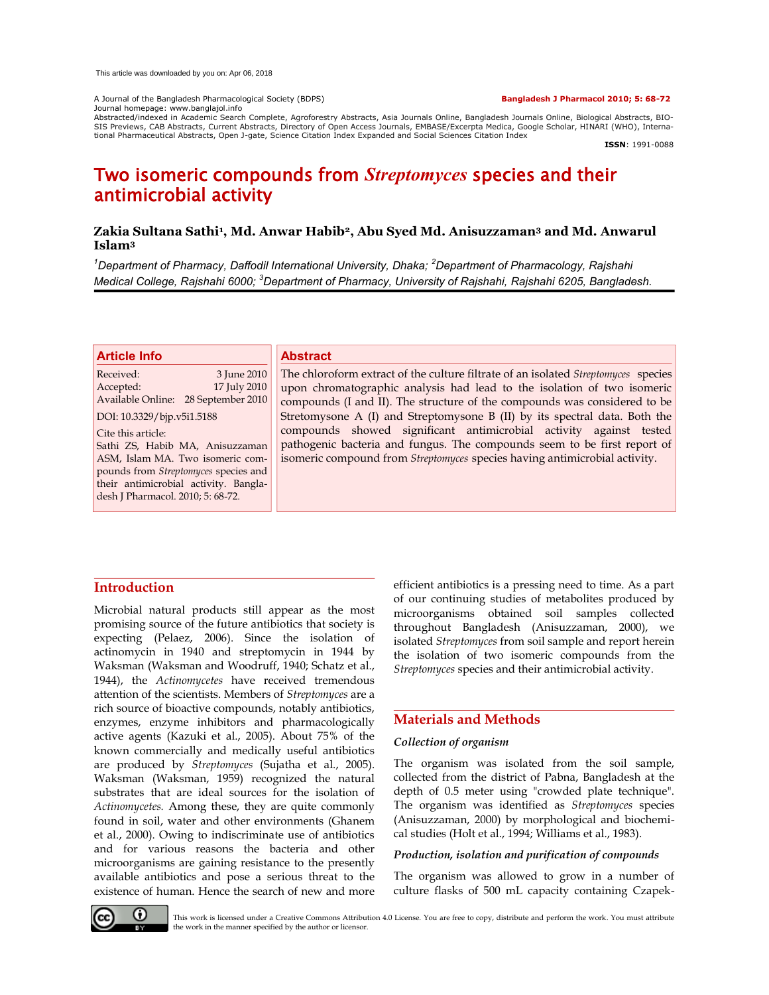A Journal of the Bangladesh Pharmacological Society (BDPS) **Bangladesh J Pharmacol 2010; 5: 68-72** Journal homepage: www.banglajol.info

Abstracted/indexed in Academic Search Complete, Agroforestry Abstracts, Asia Journals Online, Bangladesh Journals Online, Biological Abstracts, BIO-<br>SIS Previews, CAB Abstracts, Current Abstracts, Directory of Open Access tional Pharmaceutical Abstracts, Open J-gate, Science Citation Index Expanded and Social Sciences Citation Index

**ISSN**: 1991-0088

# Two isomeric compounds from *Streptomyces* species and their antimicrobial activity

# **Zakia Sultana Sathi<sup>1</sup> , Md. Anwar Habib2, Abu Syed Md. Anisuzzaman<sup>3</sup> and Md. Anwarul Islam<sup>3</sup>**

*<sup>1</sup>Department of Pharmacy, Daffodil International University, Dhaka; <sup>2</sup>Department of Pharmacology, Rajshahi Medical College, Rajshahi 6000; <sup>3</sup>Department of Pharmacy, University of Rajshahi, Rajshahi 6205, Bangladesh.*

### **Article Info**

Received: 3 June 2010<br>Accepted: 17 July 2010 17 July 2010 Available Online: 28 September 2010

DOI: 10.3329/bjp.v5i1.5188

Cite this article: Sathi ZS, Habib MA, Anisuzzaman ASM, Islam MA. Two isomeric compounds from *Streptomyces* species and their antimicrobial activity. Bangladesh J Pharmacol. 2010; 5: 68-72.

### **Abstract**

The chloroform extract of the culture filtrate of an isolated *Streptomyces* species upon chromatographic analysis had lead to the isolation of two isomeric compounds (I and II). The structure of the compounds was considered to be Stretomysone A (I) and Streptomysone B (II) by its spectral data. Both the compounds showed significant antimicrobial activity against tested pathogenic bacteria and fungus. The compounds seem to be first report of isomeric compound from *Streptomyces* species having antimicrobial activity.

# **Introduction**

Microbial natural products still appear as the most promising source of the future antibiotics that society is expecting (Pelaez, 2006). Since the isolation of actinomycin in 1940 and streptomycin in 1944 by Waksman (Waksman and Woodruff, 1940; Schatz et al., 1944), the *Actinomycetes* have received tremendous attention of the scientists. Members of *Streptomyces* are a rich source of bioactive compounds, notably antibiotics, enzymes, enzyme inhibitors and pharmacologically active agents (Kazuki et al., 2005). About 75% of the known commercially and medically useful antibiotics are produced by *Streptomyces* (Sujatha et al., 2005). Waksman (Waksman, 1959) recognized the natural substrates that are ideal sources for the isolation of *Actinomycetes.* Among these, they are quite commonly found in soil, water and other environments (Ghanem et al., 2000). Owing to indiscriminate use of antibiotics and for various reasons the bacteria and other microorganisms are gaining resistance to the presently available antibiotics and pose a serious threat to the existence of human. Hence the search of new and more efficient antibiotics is a pressing need to time. As a part of our continuing studies of metabolites produced by microorganisms obtained soil samples collected throughout Bangladesh (Anisuzzaman, 2000), we isolated *Streptomyces* from soil sample and report herein the isolation of two isomeric compounds from the *Streptomyces* species and their antimicrobial activity.

# **Materials and Methods**

## *Collection of organism*

The organism was isolated from the soil sample, collected from the district of Pabna, Bangladesh at the depth of 0.5 meter using "crowded plate technique". The organism was identified as *Streptomyces* species (Anisuzzaman, 2000) by morphological and biochemical studies (Holt et al., 1994; Williams et al., 1983).

## *Production, isolation and purification of compounds*

The organism was allowed to grow in a number of culture flasks of 500 mL capacity containing Czapek-



This work is licensed under a Creative Commons Attribution 4.0 License. You are free to copy, distribute and perform the work. You must attribute the work in the manner specified by the author or licensor.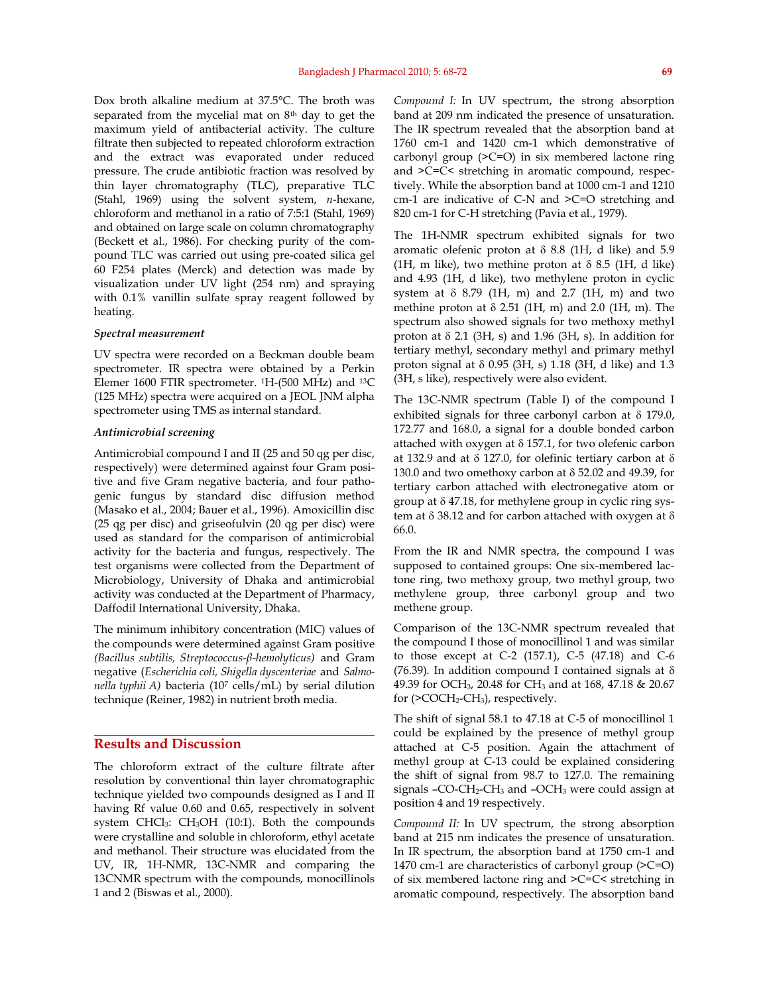Dox broth alkaline medium at 37.5°C. The broth was separated from the mycelial mat on 8<sup>th</sup> day to get the maximum yield of antibacterial activity. The culture filtrate then subjected to repeated chloroform extraction and the extract was evaporated under reduced pressure. The crude antibiotic fraction was resolved by thin layer chromatography (TLC), preparative TLC (Stahl, 1969) using the solvent system, *n*-hexane, chloroform and methanol in a ratio of 7:5:1 (Stahl, 1969) and obtained on large scale on column chromatography (Beckett et al., 1986). For checking purity of the compound TLC was carried out using pre-coated silica gel 60 F254 plates (Merck) and detection was made by visualization under UV light (254 nm) and spraying with 0.1% vanillin sulfate spray reagent followed by heating.

#### *Spectral measurement*

UV spectra were recorded on a Beckman double beam spectrometer. IR spectra were obtained by a Perkin Elemer 1600 FTIR spectrometer. 1H-(500 MHz) and 13C (125 MHz) spectra were acquired on a JEOL JNM alpha spectrometer using TMS as internal standard.

### *Antimicrobial screening*

Antimicrobial compound I and II (25 and 50 qg per disc, respectively) were determined against four Gram positive and five Gram negative bacteria, and four pathogenic fungus by standard disc diffusion method (Masako et al., 2004; Bauer et al., 1996). Amoxicillin disc (25 qg per disc) and griseofulvin (20 qg per disc) were used as standard for the comparison of antimicrobial activity for the bacteria and fungus, respectively. The test organisms were collected from the Department of Microbiology, University of Dhaka and antimicrobial activity was conducted at the Department of Pharmacy, Daffodil International University, Dhaka.

The minimum inhibitory concentration (MIC) values of the compounds were determined against Gram positive *(Bacillus subtilis, Streptococcus-β-hemolyticus)* and Gram negative (*Escherichia coli, Shigella dyscenteriae* and *Salmonella typhii A)* bacteria (107 cells/mL) by serial dilution technique (Reiner, 1982) in nutrient broth media.

### **Results and Discussion**

The chloroform extract of the culture filtrate after resolution by conventional thin layer chromatographic technique yielded two compounds designed as I and II having Rf value 0.60 and 0.65, respectively in solvent system CHCl3: CH3OH (10:1). Both the compounds were crystalline and soluble in chloroform, ethyl acetate and methanol. Their structure was elucidated from the UV, IR, 1H-NMR, 13C-NMR and comparing the 13CNMR spectrum with the compounds, monocillinols 1 and 2 (Biswas et al., 2000).

*Compound I:* In UV spectrum, the strong absorption band at 209 nm indicated the presence of unsaturation. The IR spectrum revealed that the absorption band at 1760 cm-1 and 1420 cm-1 which demonstrative of carbonyl group (>C=O) in six membered lactone ring and >C=C< stretching in aromatic compound, respectively. While the absorption band at 1000 cm-1 and 1210 cm-1 are indicative of C-N and >C=O stretching and 820 cm-1 for C-H stretching (Pavia et al., 1979).

The 1H-NMR spectrum exhibited signals for two aromatic olefenic proton at  $\delta$  8.8 (1H, d like) and 5.9 (1H, m like), two methine proton at  $\delta$  8.5 (1H, d like) and 4.93 (1H, d like), two methylene proton in cyclic system at  $\delta$  8.79 (1H, m) and 2.7 (1H, m) and two methine proton at  $\delta$  2.51 (1H, m) and 2.0 (1H, m). The spectrum also showed signals for two methoxy methyl proton at  $\delta$  2.1 (3H, s) and 1.96 (3H, s). In addition for tertiary methyl, secondary methyl and primary methyl proton signal at  $\delta$  0.95 (3H, s) 1.18 (3H, d like) and 1.3 (3H, s like), respectively were also evident.

The 13C-NMR spectrum (Table I) of the compound I exhibited signals for three carbonyl carbon at  $\delta$  179.0, 172.77 and 168.0, a signal for a double bonded carbon attached with oxygen at  $\delta$  157.1, for two olefenic carbon at 132.9 and at  $\delta$  127.0, for olefinic tertiary carbon at  $\delta$ 130.0 and two omethoxy carbon at  $\delta$  52.02 and 49.39, for tertiary carbon attached with electronegative atom or group at  $\delta$  47.18, for methylene group in cyclic ring system at  $\delta$  38.12 and for carbon attached with oxygen at  $\delta$ 66.0.

From the IR and NMR spectra, the compound I was supposed to contained groups: One six-membered lactone ring, two methoxy group, two methyl group, two methylene group, three carbonyl group and two methene group.

Comparison of the 13C-NMR spectrum revealed that the compound I those of monocillinol 1 and was similar to those except at C-2 (157.1), C-5 (47.18) and C-6 (76.39). In addition compound I contained signals at  $\delta$ 49.39 for OCH3, 20.48 for CH3 and at 168, 47.18 & 20.67 for (>COCH2-CH3), respectively.

The shift of signal 58.1 to 47.18 at C-5 of monocillinol 1 could be explained by the presence of methyl group attached at C-5 position. Again the attachment of methyl group at C-13 could be explained considering the shift of signal from 98.7 to 127.0. The remaining signals  $-CO-CH<sub>2</sub>-CH<sub>3</sub>$  and  $-OCH<sub>3</sub>$  were could assign at position 4 and 19 respectively.

*Compound II:* In UV spectrum, the strong absorption band at 215 nm indicates the presence of unsaturation. In IR spectrum, the absorption band at 1750 cm-1 and 1470 cm-1 are characteristics of carbonyl group (>C=O) of six membered lactone ring and >C=C< stretching in aromatic compound, respectively. The absorption band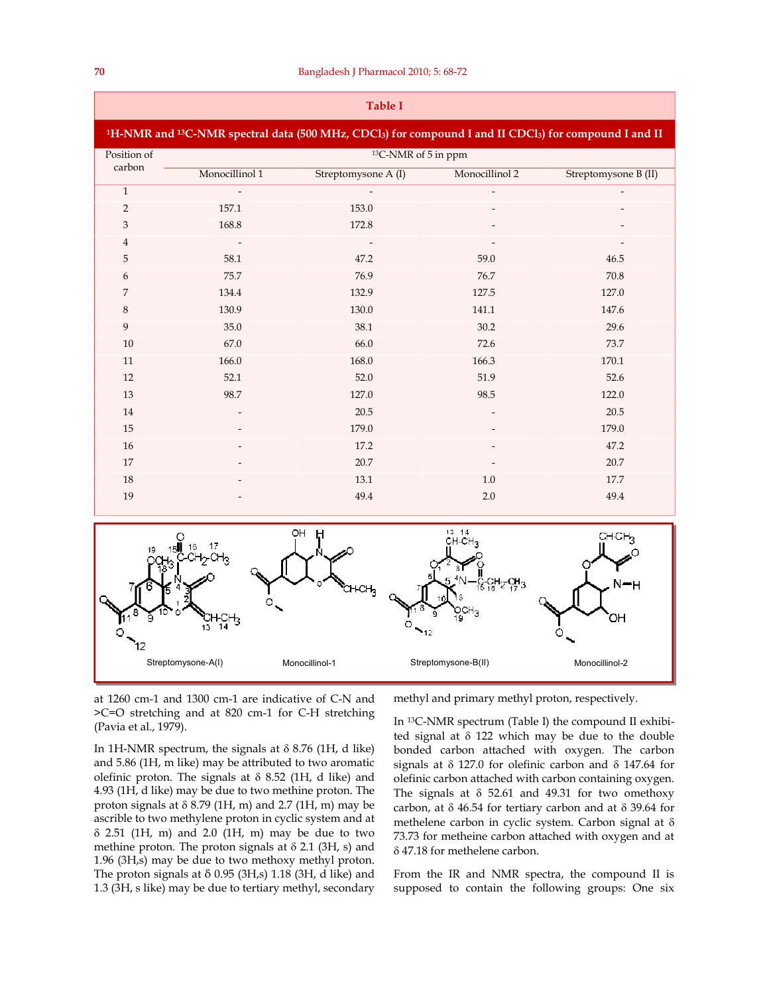| <b>Table I</b>                                                                                                                                         |                                 |                     |                |                      |  |  |  |  |  |
|--------------------------------------------------------------------------------------------------------------------------------------------------------|---------------------------------|---------------------|----------------|----------------------|--|--|--|--|--|
| <sup>1</sup> H-NMR and <sup>13</sup> C-NMR spectral data (500 MHz, CDCl <sub>3</sub> ) for compound I and II CDCl <sub>3</sub> ) for compound I and II |                                 |                     |                |                      |  |  |  |  |  |
| Position of<br>carbon                                                                                                                                  | <sup>13</sup> C-NMR of 5 in ppm |                     |                |                      |  |  |  |  |  |
|                                                                                                                                                        | Monocillinol 1                  | Streptomysone A (I) | Monocillinol 2 | Streptomysone B (II) |  |  |  |  |  |
| $\mathbf{1}$                                                                                                                                           |                                 |                     |                |                      |  |  |  |  |  |
| $\overline{2}$                                                                                                                                         | 157.1                           | 153.0               |                |                      |  |  |  |  |  |
| $\ensuremath{\mathsf{3}}$                                                                                                                              | 168.8                           | 172.8               |                |                      |  |  |  |  |  |
| $\overline{4}$                                                                                                                                         |                                 |                     |                |                      |  |  |  |  |  |
| 5                                                                                                                                                      | 58.1                            | 47.2                | 59.0           | 46.5                 |  |  |  |  |  |
| 6                                                                                                                                                      | 75.7                            | 76.9                | 76.7           | 70.8                 |  |  |  |  |  |
| $\overline{7}$                                                                                                                                         | 134.4                           | 132.9               | 127.5          | 127.0                |  |  |  |  |  |
| $\,8\,$                                                                                                                                                | 130.9                           | 130.0               | 141.1          | 147.6                |  |  |  |  |  |
| 9                                                                                                                                                      | 35.0                            | 38.1                | 30.2           | 29.6                 |  |  |  |  |  |
| 10                                                                                                                                                     | 67.0                            | 66.0                | 72.6           | 73.7                 |  |  |  |  |  |
| 11                                                                                                                                                     | 166.0                           | 168.0               | 166.3          | 170.1                |  |  |  |  |  |
| 12                                                                                                                                                     | 52.1                            | 52.0                | 51.9           | 52.6                 |  |  |  |  |  |
| 13                                                                                                                                                     | 98.7                            | 127.0               | 98.5           | 122.0                |  |  |  |  |  |
| 14                                                                                                                                                     |                                 | 20.5                |                | 20.5                 |  |  |  |  |  |
| 15                                                                                                                                                     |                                 | 179.0               |                | 179.0                |  |  |  |  |  |
| 16                                                                                                                                                     |                                 | 17.2                |                | 47.2                 |  |  |  |  |  |
| 17                                                                                                                                                     |                                 | 20.7                |                | 20.7                 |  |  |  |  |  |
| 18                                                                                                                                                     |                                 | 13.1                | 1.0            | 17.7                 |  |  |  |  |  |
| 19                                                                                                                                                     |                                 | 49.4                | 2.0            | 49.4                 |  |  |  |  |  |



at 1260 cm-1 and 1300 cm-1 are indicative of C-N and >C=O stretching and at 820 cm-1 for C-H stretching (Pavia et al., 1979).

In 1H-NMR spectrum, the signals at  $\delta$  8.76 (1H, d like) and 5.86 (1H, m like) may be attributed to two aromatic olefinic proton. The signals at  $\delta$  8.52 (1H, d like) and 4.93 (1H, d like) may be due to two methine proton. The proton signals at  $\delta$  8.79 (1H, m) and 2.7 (1H, m) may be ascrible to two methylene proton in cyclic system and at  $\delta$  2.51 (1H, m) and 2.0 (1H, m) may be due to two methine proton. The proton signals at  $\delta$  2.1 (3H, s) and 1.96 (3H,s) may be due to two methoxy methyl proton. The proton signals at  $\delta$  0.95 (3H,s) 1.18 (3H, d like) and 1.3 (3H, s like) may be due to tertiary methyl, secondary

methyl and primary methyl proton, respectively.

In 13C-NMR spectrum (Table I) the compound II exhibited signal at  $\delta$  122 which may be due to the double bonded carbon attached with oxygen. The carbon signals at  $\delta$  127.0 for olefinic carbon and  $\delta$  147.64 for olefinic carbon attached with carbon containing oxygen. The signals at  $\delta$  52.61 and 49.31 for two omethoxy carbon, at  $\delta$  46.54 for tertiary carbon and at  $\delta$  39.64 for methelene carbon in cyclic system. Carbon signal at 73.73 for metheine carbon attached with oxygen and at 47.18 for methelene carbon.

From the IR and NMR spectra, the compound II is supposed to contain the following groups: One six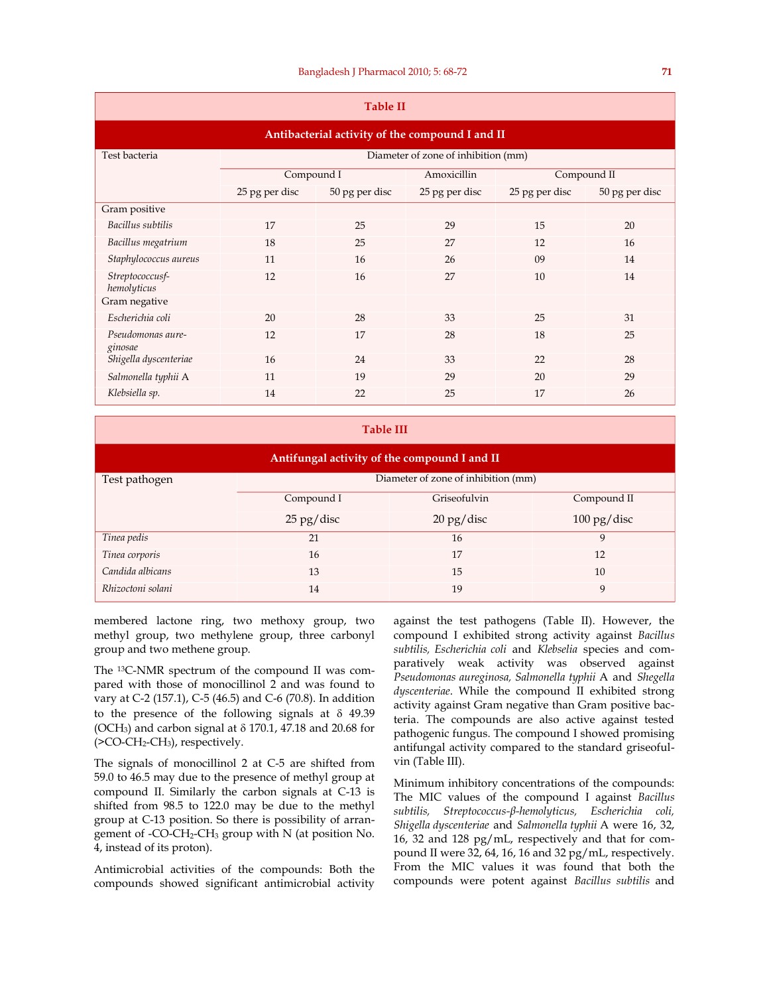| <b>Table II</b>                                 |                                     |                |                |                |                |  |  |  |  |
|-------------------------------------------------|-------------------------------------|----------------|----------------|----------------|----------------|--|--|--|--|
| Antibacterial activity of the compound I and II |                                     |                |                |                |                |  |  |  |  |
| Test bacteria                                   | Diameter of zone of inhibition (mm) |                |                |                |                |  |  |  |  |
|                                                 | Compound I                          |                | Amoxicillin    | Compound II    |                |  |  |  |  |
|                                                 | 25 pg per disc                      | 50 pg per disc | 25 pg per disc | 25 pg per disc | 50 pg per disc |  |  |  |  |
| Gram positive                                   |                                     |                |                |                |                |  |  |  |  |
| Bacillus subtilis                               | 17                                  | 25             | 29             | 15             | 20             |  |  |  |  |
| Bacillus megatrium                              | 18                                  | 25             | 27             | 12             | 16             |  |  |  |  |
| Staphylococcus aureus                           | 11                                  | 16             | 26             | 09             | 14             |  |  |  |  |
| Streptococcusf-<br>hemolyticus                  | 12                                  | 16             | 27             | 10             | 14             |  |  |  |  |
| Gram negative                                   |                                     |                |                |                |                |  |  |  |  |
| Escherichia coli                                | 20                                  | 28             | 33             | 25             | 31             |  |  |  |  |
| Pseudomonas aure-<br>ginosae                    | 12                                  | 17             | 28             | 18             | 25             |  |  |  |  |
| Shigella dyscenteriae                           | 16                                  | 24             | 33             | 22             | 28             |  |  |  |  |
| Salmonella typhii A                             | 11                                  | 19             | 29             | 20             | 29             |  |  |  |  |
| Klebsiella sp.                                  | 14                                  | 22             | 25             | 17             | 26             |  |  |  |  |

### **Table III**

| Antifungal activity of the compound I and II |                                     |                                    |                                     |  |  |  |  |  |
|----------------------------------------------|-------------------------------------|------------------------------------|-------------------------------------|--|--|--|--|--|
| Test pathogen                                | Diameter of zone of inhibition (mm) |                                    |                                     |  |  |  |  |  |
|                                              | Compound I                          | Griseofulvin                       | Compound II                         |  |  |  |  |  |
|                                              | $25$ pg/disc                        | $20 \frac{\text{pg}}{\text{disc}}$ | $100 \frac{\text{pg}}{\text{disc}}$ |  |  |  |  |  |
| Tinea pedis                                  | 21                                  | 16                                 | Q                                   |  |  |  |  |  |
| Tinea corporis                               | 16                                  | 17                                 | 12                                  |  |  |  |  |  |
| Candida albicans                             | 13                                  | 15                                 | 10                                  |  |  |  |  |  |
| Rhizoctoni solani                            | 14                                  | 19                                 | 9                                   |  |  |  |  |  |

membered lactone ring, two methoxy group, two methyl group, two methylene group, three carbonyl group and two methene group.

The 13C-NMR spectrum of the compound II was compared with those of monocillinol 2 and was found to vary at C-2 (157.1), C-5 (46.5) and C-6 (70.8). In addition to the presence of the following signals at  $\delta$  49.39 (OCH<sub>3</sub>) and carbon signal at  $\delta$  170.1, 47.18 and 20.68 for (>CO-CH2-CH3), respectively.

The signals of monocillinol 2 at C-5 are shifted from 59.0 to 46.5 may due to the presence of methyl group at compound II. Similarly the carbon signals at C-13 is shifted from 98.5 to 122.0 may be due to the methyl group at C-13 position. So there is possibility of arrangement of -CO-CH2-CH3 group with N (at position No. 4, instead of its proton).

Antimicrobial activities of the compounds: Both the compounds showed significant antimicrobial activity

against the test pathogens (Table II). However, the compound I exhibited strong activity against *Bacillus subtilis, Escherichia coli* and *Klebselia* species and comparatively weak activity was observed against *Pseudomonas aureginosa, Salmonella typhii* A and *Shegella dyscenteriae*. While the compound II exhibited strong activity against Gram negative than Gram positive bacteria. The compounds are also active against tested pathogenic fungus. The compound I showed promising antifungal activity compared to the standard griseofulvin (Table III).

Minimum inhibitory concentrations of the compounds: The MIC values of the compound I against *Bacillus subtilis, Streptococcus-β-hemolyticus, Escherichia coli, Shigella dyscenteriae* and *Salmonella typhii* A were 16, 32, 16, 32 and 128 pg/mL, respectively and that for compound II were 32, 64, 16, 16 and 32 pg/mL, respectively. From the MIC values it was found that both the compounds were potent against *Bacillus subtilis* and